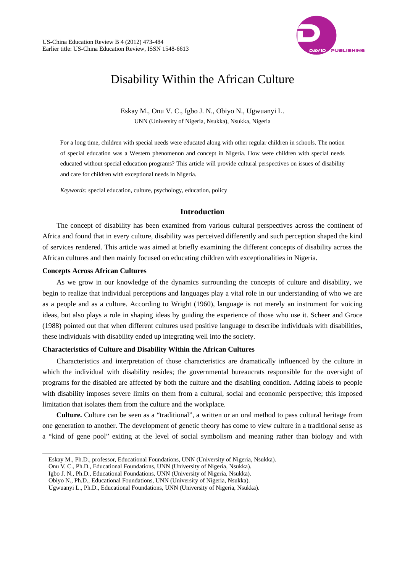

# Disability Within the African Culture

Eskay M., Onu V. C., Igbo J. N., Obiyo N., Ugwuanyi L. UNN (University of Nigeria, Nsukka), Nsukka, Nigeria

For a long time, children with special needs were educated along with other regular children in schools. The notion of special education was a Western phenomenon and concept in Nigeria. How were children with special needs educated without special education programs? This article will provide cultural perspectives on issues of disability and care for children with exceptional needs in Nigeria.

*Keywords:* special education, culture, psychology, education, policy

### **Introduction**

The concept of disability has been examined from various cultural perspectives across the continent of Africa and found that in every culture, disability was perceived differently and such perception shaped the kind of services rendered. This article was aimed at briefly examining the different concepts of disability across the African cultures and then mainly focused on educating children with exceptionalities in Nigeria.

### **Concepts Across African Cultures**

 $\overline{a}$ 

As we grow in our knowledge of the dynamics surrounding the concepts of culture and disability, we begin to realize that individual perceptions and languages play a vital role in our understanding of who we are as a people and as a culture. According to Wright (1960), language is not merely an instrument for voicing ideas, but also plays a role in shaping ideas by guiding the experience of those who use it. Scheer and Groce (1988) pointed out that when different cultures used positive language to describe individuals with disabilities, these individuals with disability ended up integrating well into the society.

#### **Characteristics of Culture and Disability Within the African Cultures**

Characteristics and interpretation of those characteristics are dramatically influenced by the culture in which the individual with disability resides; the governmental bureaucrats responsible for the oversight of programs for the disabled are affected by both the culture and the disabling condition. Adding labels to people with disability imposes severe limits on them from a cultural, social and economic perspective; this imposed limitation that isolates them from the culture and the workplace.

**Culture.** Culture can be seen as a "traditional", a written or an oral method to pass cultural heritage from one generation to another. The development of genetic theory has come to view culture in a traditional sense as a "kind of gene pool" exiting at the level of social symbolism and meaning rather than biology and with

Eskay M., Ph.D., professor, Educational Foundations, UNN (University of Nigeria, Nsukka).

Onu V. C., Ph.D., Educational Foundations, UNN (University of Nigeria, Nsukka).

Igbo J. N., Ph.D., Educational Foundations, UNN (University of Nigeria, Nsukka).

Obiyo N., Ph.D., Educational Foundations, UNN (University of Nigeria, Nsukka).

Ugwuanyi L., Ph.D., Educational Foundations, UNN (University of Nigeria, Nsukka).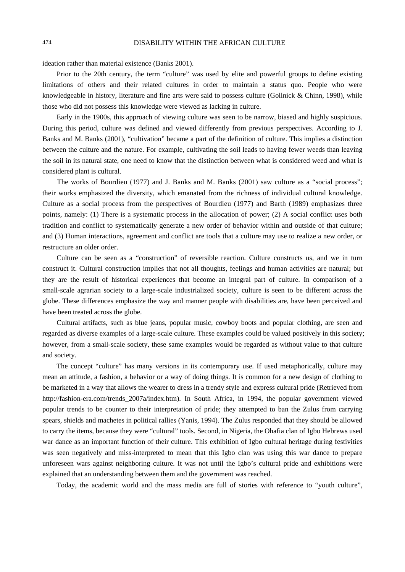ideation rather than material existence (Banks 2001).

Prior to the 20th century, the term "culture" was used by elite and powerful groups to define existing limitations of others and their related cultures in order to maintain a status quo. People who were knowledgeable in history, literature and fine arts were said to possess culture (Gollnick & Chinn, 1998), while those who did not possess this knowledge were viewed as lacking in culture.

Early in the 1900s, this approach of viewing culture was seen to be narrow, biased and highly suspicious. During this period, culture was defined and viewed differently from previous perspectives. According to J. Banks and M. Banks (2001), "cultivation" became a part of the definition of culture. This implies a distinction between the culture and the nature. For example, cultivating the soil leads to having fewer weeds than leaving the soil in its natural state, one need to know that the distinction between what is considered weed and what is considered plant is cultural.

The works of Bourdieu (1977) and J. Banks and M. Banks (2001) saw culture as a "social process"; their works emphasized the diversity, which emanated from the richness of individual cultural knowledge. Culture as a social process from the perspectives of Bourdieu (1977) and Barth (1989) emphasizes three points, namely: (1) There is a systematic process in the allocation of power; (2) A social conflict uses both tradition and conflict to systematically generate a new order of behavior within and outside of that culture; and (3) Human interactions, agreement and conflict are tools that a culture may use to realize a new order, or restructure an older order.

Culture can be seen as a "construction" of reversible reaction. Culture constructs us, and we in turn construct it. Cultural construction implies that not all thoughts, feelings and human activities are natural; but they are the result of historical experiences that become an integral part of culture. In comparison of a small-scale agrarian society to a large-scale industrialized society, culture is seen to be different across the globe. These differences emphasize the way and manner people with disabilities are, have been perceived and have been treated across the globe.

Cultural artifacts, such as blue jeans, popular music, cowboy boots and popular clothing, are seen and regarded as diverse examples of a large-scale culture. These examples could be valued positively in this society; however, from a small-scale society, these same examples would be regarded as without value to that culture and society.

The concept "culture" has many versions in its contemporary use. If used metaphorically, culture may mean an attitude, a fashion, a behavior or a way of doing things. It is common for a new design of clothing to be marketed in a way that allows the wearer to dress in a trendy style and express cultural pride (Retrieved from http://fashion-era.com/trends\_2007a/index.htm). In South Africa, in 1994, the popular government viewed popular trends to be counter to their interpretation of pride; they attempted to ban the Zulus from carrying spears, shields and machetes in political rallies (Yanis, 1994). The Zulus responded that they should be allowed to carry the items, because they were "cultural" tools. Second, in Nigeria, the Ohafia clan of Igbo Hebrews used war dance as an important function of their culture. This exhibition of Igbo cultural heritage during festivities was seen negatively and miss-interpreted to mean that this Igbo clan was using this war dance to prepare unforeseen wars against neighboring culture. It was not until the Igbo's cultural pride and exhibitions were explained that an understanding between them and the government was reached.

Today, the academic world and the mass media are full of stories with reference to "youth culture",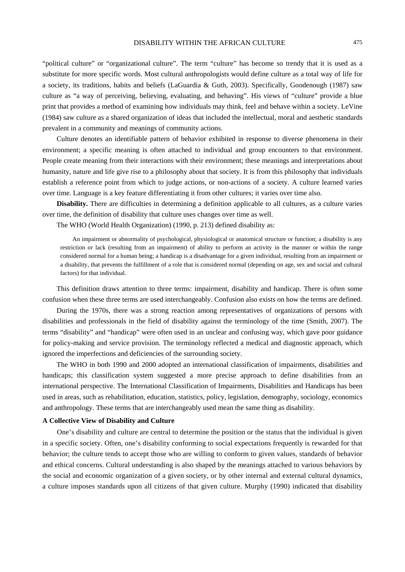"political culture" or "organizational culture". The term "culture" has become so trendy that it is used as a substitute for more specific words. Most cultural anthropologists would define culture as a total way of life for a society, its traditions, habits and beliefs (LaGuardia & Guth, 2003). Specifically, Goodenough (1987) saw culture as "a way of perceiving, believing, evaluating, and behaving". His views of "culture" provide a blue print that provides a method of examining how individuals may think, feel and behave within a society. LeVine (1984) saw culture as a shared organization of ideas that included the intellectual, moral and aesthetic standards prevalent in a community and meanings of community actions.

Culture denotes an identifiable pattern of behavior exhibited in response to diverse phenomena in their environment; a specific meaning is often attached to individual and group encounters to that environment. People create meaning from their interactions with their environment; these meanings and interpretations about humanity, nature and life give rise to a philosophy about that society. It is from this philosophy that individuals establish a reference point from which to judge actions, or non-actions of a society. A culture learned varies over time. Language is a key feature differentiating it from other cultures; it varies over time also.

**Disability.** There are difficulties in determining a definition applicable to all cultures, as a culture varies over time, the definition of disability that culture uses changes over time as well.

The WHO (World Health Organization) (1990, p. 213) defined disability as:

An impairment or abnormality of psychological, physiological or anatomical structure or function; a disability is any restriction or lack (resulting from an impairment) of ability to perform an activity in the manner or within the range considered normal for a human being; a handicap is a disadvantage for a given individual, resulting from an impairment or a disability, that prevents the fulfillment of a role that is considered normal (depending on age, sex and social and cultural factors) for that individual.

This definition draws attention to three terms: impairment, disability and handicap. There is often some confusion when these three terms are used interchangeably. Confusion also exists on how the terms are defined.

During the 1970s, there was a strong reaction among representatives of organizations of persons with disabilities and professionals in the field of disability against the terminology of the time (Smith, 2007). The terms "disability" and "handicap" were often used in an unclear and confusing way, which gave poor guidance for policy-making and service provision. The terminology reflected a medical and diagnostic approach, which ignored the imperfections and deficiencies of the surrounding society.

The WHO in both 1990 and 2000 adopted an international classification of impairments, disabilities and handicaps; this classification system suggested a more precise approach to define disabilities from an international perspective. The International Classification of Impairments, Disabilities and Handicaps has been used in areas, such as rehabilitation, education, statistics, policy, legislation, demography, sociology, economics and anthropology. These terms that are interchangeably used mean the same thing as disability.

#### **A Collective View of Disability and Culture**

One's disability and culture are central to determine the position or the status that the individual is given in a specific society. Often, one's disability conforming to social expectations frequently is rewarded for that behavior; the culture tends to accept those who are willing to conform to given values, standards of behavior and ethical concerns. Cultural understanding is also shaped by the meanings attached to various behaviors by the social and economic organization of a given society, or by other internal and external cultural dynamics, a culture imposes standards upon all citizens of that given culture. Murphy (1990) indicated that disability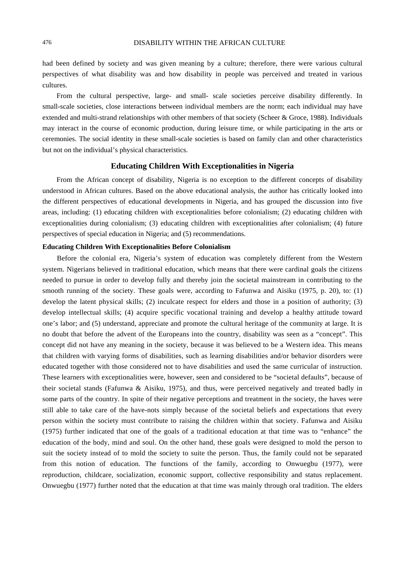had been defined by society and was given meaning by a culture; therefore, there were various cultural perspectives of what disability was and how disability in people was perceived and treated in various cultures.

From the cultural perspective, large- and small- scale societies perceive disability differently. In small-scale societies, close interactions between individual members are the norm; each individual may have extended and multi-strand relationships with other members of that society (Scheer & Groce, 1988). Individuals may interact in the course of economic production, during leisure time, or while participating in the arts or ceremonies. The social identity in these small-scale societies is based on family clan and other characteristics but not on the individual's physical characteristics.

#### **Educating Children With Exceptionalities in Nigeria**

From the African concept of disability, Nigeria is no exception to the different concepts of disability understood in African cultures. Based on the above educational analysis, the author has critically looked into the different perspectives of educational developments in Nigeria, and has grouped the discussion into five areas, including: (1) educating children with exceptionalities before colonialism; (2) educating children with exceptionalities during colonialism; (3) educating children with exceptionalities after colonialism; (4) future perspectives of special education in Nigeria; and (5) recommendations.

#### **Educating Children With Exceptionalities Before Colonialism**

Before the colonial era, Nigeria's system of education was completely different from the Western system. Nigerians believed in traditional education, which means that there were cardinal goals the citizens needed to pursue in order to develop fully and thereby join the societal mainstream in contributing to the smooth running of the society. These goals were, according to Fafunwa and Aisiku (1975, p. 20), to: (1) develop the latent physical skills; (2) inculcate respect for elders and those in a position of authority; (3) develop intellectual skills; (4) acquire specific vocational training and develop a healthy attitude toward one's labor; and (5) understand, appreciate and promote the cultural heritage of the community at large. It is no doubt that before the advent of the Europeans into the country, disability was seen as a "concept". This concept did not have any meaning in the society, because it was believed to be a Western idea. This means that children with varying forms of disabilities, such as learning disabilities and/or behavior disorders were educated together with those considered not to have disabilities and used the same curricular of instruction. These learners with exceptionalities were, however, seen and considered to be "societal defaults", because of their societal stands (Fafunwa & Aisiku, 1975), and thus, were perceived negatively and treated badly in some parts of the country. In spite of their negative perceptions and treatment in the society, the haves were still able to take care of the have-nots simply because of the societal beliefs and expectations that every person within the society must contribute to raising the children within that society. Fafunwa and Aisiku (1975) further indicated that one of the goals of a traditional education at that time was to "enhance" the education of the body, mind and soul. On the other hand, these goals were designed to mold the person to suit the society instead of to mold the society to suite the person. Thus, the family could not be separated from this notion of education. The functions of the family, according to Onwuegbu (1977), were reproduction, childcare, socialization, economic support, collective responsibility and status replacement. Onwuegbu (1977) further noted that the education at that time was mainly through oral tradition. The elders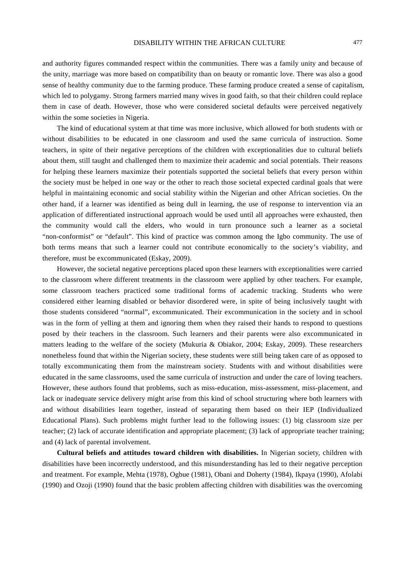and authority figures commanded respect within the communities. There was a family unity and because of the unity, marriage was more based on compatibility than on beauty or romantic love. There was also a good sense of healthy community due to the farming produce. These farming produce created a sense of capitalism, which led to polygamy. Strong farmers married many wives in good faith, so that their children could replace them in case of death. However, those who were considered societal defaults were perceived negatively within the some societies in Nigeria.

The kind of educational system at that time was more inclusive, which allowed for both students with or without disabilities to be educated in one classroom and used the same curricula of instruction. Some teachers, in spite of their negative perceptions of the children with exceptionalities due to cultural beliefs about them, still taught and challenged them to maximize their academic and social potentials. Their reasons for helping these learners maximize their potentials supported the societal beliefs that every person within the society must be helped in one way or the other to reach those societal expected cardinal goals that were helpful in maintaining economic and social stability within the Nigerian and other African societies. On the other hand, if a learner was identified as being dull in learning, the use of response to intervention via an application of differentiated instructional approach would be used until all approaches were exhausted, then the community would call the elders, who would in turn pronounce such a learner as a societal "non-conformist" or "default". This kind of practice was common among the Igbo community. The use of both terms means that such a learner could not contribute economically to the society's viability, and therefore, must be excommunicated (Eskay, 2009).

However, the societal negative perceptions placed upon these learners with exceptionalities were carried to the classroom where different treatments in the classroom were applied by other teachers. For example, some classroom teachers practiced some traditional forms of academic tracking. Students who were considered either learning disabled or behavior disordered were, in spite of being inclusively taught with those students considered "normal", excommunicated. Their excommunication in the society and in school was in the form of yelling at them and ignoring them when they raised their hands to respond to questions posed by their teachers in the classroom. Such learners and their parents were also excommunicated in matters leading to the welfare of the society (Mukuria & Obiakor, 2004; Eskay, 2009). These researchers nonetheless found that within the Nigerian society, these students were still being taken care of as opposed to totally excommunicating them from the mainstream society. Students with and without disabilities were educated in the same classrooms, used the same curricula of instruction and under the care of loving teachers. However, these authors found that problems, such as miss-education, miss-assessment, miss-placement, and lack or inadequate service delivery might arise from this kind of school structuring where both learners with and without disabilities learn together, instead of separating them based on their IEP (Individualized Educational Plans). Such problems might further lead to the following issues: (1) big classroom size per teacher; (2) lack of accurate identification and appropriate placement; (3) lack of appropriate teacher training; and (4) lack of parental involvement.

**Cultural beliefs and attitudes toward children with disabilities.** In Nigerian society, children with disabilities have been incorrectly understood, and this misunderstanding has led to their negative perception and treatment. For example, Mehta (1978), Ogbue (1981), Obani and Doherty (1984), Ikpaya (1990), Afolabi (1990) and Ozoji (1990) found that the basic problem affecting children with disabilities was the overcoming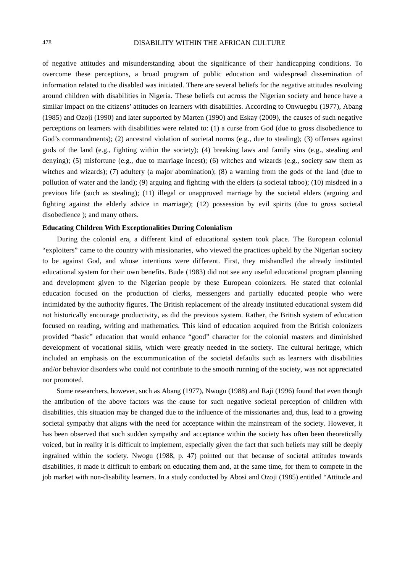of negative attitudes and misunderstanding about the significance of their handicapping conditions. To overcome these perceptions, a broad program of public education and widespread dissemination of information related to the disabled was initiated. There are several beliefs for the negative attitudes revolving around children with disabilities in Nigeria. These beliefs cut across the Nigerian society and hence have a similar impact on the citizens' attitudes on learners with disabilities. According to Onwuegbu (1977), Abang (1985) and Ozoji (1990) and later supported by Marten (1990) and Eskay (2009), the causes of such negative perceptions on learners with disabilities were related to: (1) a curse from God (due to gross disobedience to God's commandments); (2) ancestral violation of societal norms (e.g., due to stealing); (3) offenses against gods of the land (e.g., fighting within the society); (4) breaking laws and family sins (e.g., stealing and denying); (5) misfortune (e.g., due to marriage incest); (6) witches and wizards (e.g., society saw them as witches and wizards); (7) adultery (a major abomination); (8) a warning from the gods of the land (due to pollution of water and the land); (9) arguing and fighting with the elders (a societal taboo); (10) misdeed in a previous life (such as stealing); (11) illegal or unapproved marriage by the societal elders (arguing and fighting against the elderly advice in marriage); (12) possession by evil spirits (due to gross societal disobedience ); and many others.

#### **Educating Children With Exceptionalities During Colonialism**

During the colonial era, a different kind of educational system took place. The European colonial "exploiters" came to the country with missionaries, who viewed the practices upheld by the Nigerian society to be against God, and whose intentions were different. First, they mishandled the already instituted educational system for their own benefits. Bude (1983) did not see any useful educational program planning and development given to the Nigerian people by these European colonizers. He stated that colonial education focused on the production of clerks, messengers and partially educated people who were intimidated by the authority figures. The British replacement of the already instituted educational system did not historically encourage productivity, as did the previous system. Rather, the British system of education focused on reading, writing and mathematics. This kind of education acquired from the British colonizers provided "basic" education that would enhance "good" character for the colonial masters and diminished development of vocational skills, which were greatly needed in the society. The cultural heritage, which included an emphasis on the excommunication of the societal defaults such as learners with disabilities and/or behavior disorders who could not contribute to the smooth running of the society, was not appreciated nor promoted.

Some researchers, however, such as Abang (1977), Nwogu (1988) and Raji (1996) found that even though the attribution of the above factors was the cause for such negative societal perception of children with disabilities, this situation may be changed due to the influence of the missionaries and, thus, lead to a growing societal sympathy that aligns with the need for acceptance within the mainstream of the society. However, it has been observed that such sudden sympathy and acceptance within the society has often been theoretically voiced, but in reality it is difficult to implement, especially given the fact that such beliefs may still be deeply ingrained within the society. Nwogu (1988, p. 47) pointed out that because of societal attitudes towards disabilities, it made it difficult to embark on educating them and, at the same time, for them to compete in the job market with non-disability learners. In a study conducted by Abosi and Ozoji (1985) entitled "Attitude and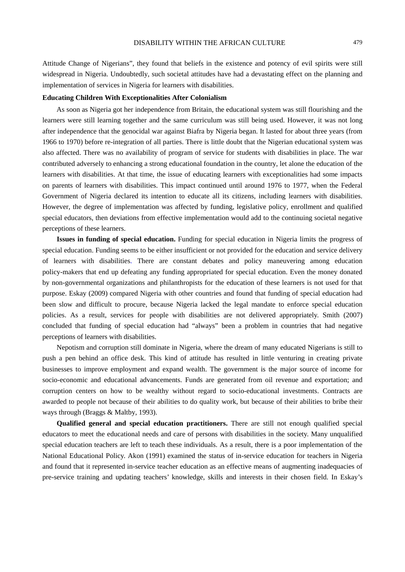Attitude Change of Nigerians", they found that beliefs in the existence and potency of evil spirits were still widespread in Nigeria. Undoubtedly, such societal attitudes have had a devastating effect on the planning and implementation of services in Nigeria for learners with disabilities.

### **Educating Children With Exceptionalities After Colonialism**

As soon as Nigeria got her independence from Britain, the educational system was still flourishing and the learners were still learning together and the same curriculum was still being used. However, it was not long after independence that the genocidal war against Biafra by Nigeria began. It lasted for about three years (from 1966 to 1970) before re-integration of all parties. There is little doubt that the Nigerian educational system was also affected. There was no availability of program of service for students with disabilities in place. The war contributed adversely to enhancing a strong educational foundation in the country, let alone the education of the learners with disabilities. At that time, the issue of educating learners with exceptionalities had some impacts on parents of learners with disabilities. This impact continued until around 1976 to 1977, when the Federal Government of Nigeria declared its intention to educate all its citizens, including learners with disabilities. However, the degree of implementation was affected by funding, legislative policy, enrollment and qualified special educators, then deviations from effective implementation would add to the continuing societal negative perceptions of these learners.

**Issues in funding of special education.** Funding for special education in Nigeria limits the progress of special education. Funding seems to be either insufficient or not provided for the education and service delivery of learners with disabilities. There are constant debates and policy maneuvering among education policy-makers that end up defeating any funding appropriated for special education. Even the money donated by non-governmental organizations and philanthropists for the education of these learners is not used for that purpose. Eskay (2009) compared Nigeria with other countries and found that funding of special education had been slow and difficult to procure, because Nigeria lacked the legal mandate to enforce special education policies. As a result, services for people with disabilities are not delivered appropriately. Smith (2007) concluded that funding of special education had "always" been a problem in countries that had negative perceptions of learners with disabilities.

Nepotism and corruption still dominate in Nigeria, where the dream of many educated Nigerians is still to push a pen behind an office desk. This kind of attitude has resulted in little venturing in creating private businesses to improve employment and expand wealth. The government is the major source of income for socio-economic and educational advancements. Funds are generated from oil revenue and exportation; and corruption centers on how to be wealthy without regard to socio-educational investments. Contracts are awarded to people not because of their abilities to do quality work, but because of their abilities to bribe their ways through (Braggs & Maltby, 1993).

**Qualified general and special education practitioners.** There are still not enough qualified special educators to meet the educational needs and care of persons with disabilities in the society. Many unqualified special education teachers are left to teach these individuals. As a result, there is a poor implementation of the National Educational Policy. Akon (1991) examined the status of in-service education for teachers in Nigeria and found that it represented in-service teacher education as an effective means of augmenting inadequacies of pre-service training and updating teachers' knowledge, skills and interests in their chosen field. In Eskay's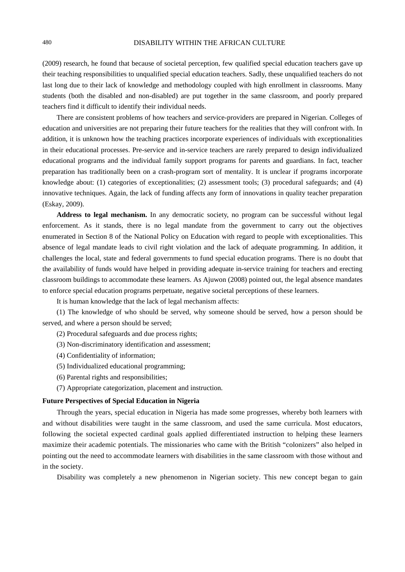(2009) research, he found that because of societal perception, few qualified special education teachers gave up their teaching responsibilities to unqualified special education teachers. Sadly, these unqualified teachers do not last long due to their lack of knowledge and methodology coupled with high enrollment in classrooms. Many students (both the disabled and non-disabled) are put together in the same classroom, and poorly prepared teachers find it difficult to identify their individual needs.

There are consistent problems of how teachers and service-providers are prepared in Nigerian. Colleges of education and universities are not preparing their future teachers for the realities that they will confront with. In addition, it is unknown how the teaching practices incorporate experiences of individuals with exceptionalities in their educational processes. Pre-service and in-service teachers are rarely prepared to design individualized educational programs and the individual family support programs for parents and guardians. In fact, teacher preparation has traditionally been on a crash-program sort of mentality. It is unclear if programs incorporate knowledge about: (1) categories of exceptionalities; (2) assessment tools; (3) procedural safeguards; and (4) innovative techniques. Again, the lack of funding affects any form of innovations in quality teacher preparation (Eskay, 2009).

**Address to legal mechanism.** In any democratic society, no program can be successful without legal enforcement. As it stands, there is no legal mandate from the government to carry out the objectives enumerated in Section 8 of the National Policy on Education with regard to people with exceptionalities. This absence of legal mandate leads to civil right violation and the lack of adequate programming. In addition, it challenges the local, state and federal governments to fund special education programs. There is no doubt that the availability of funds would have helped in providing adequate in-service training for teachers and erecting classroom buildings to accommodate these learners. As Ajuwon (2008) pointed out, the legal absence mandates to enforce special education programs perpetuate, negative societal perceptions of these learners.

It is human knowledge that the lack of legal mechanism affects:

(1) The knowledge of who should be served, why someone should be served, how a person should be served, and where a person should be served;

- (2) Procedural safeguards and due process rights;
- (3) Non-discriminatory identification and assessment;
- (4) Confidentiality of information;
- (5) Individualized educational programming;
- (6) Parental rights and responsibilities;
- (7) Appropriate categorization, placement and instruction.

#### **Future Perspectives of Special Education in Nigeria**

Through the years, special education in Nigeria has made some progresses, whereby both learners with and without disabilities were taught in the same classroom, and used the same curricula. Most educators, following the societal expected cardinal goals applied differentiated instruction to helping these learners maximize their academic potentials. The missionaries who came with the British "colonizers" also helped in pointing out the need to accommodate learners with disabilities in the same classroom with those without and in the society.

Disability was completely a new phenomenon in Nigerian society. This new concept began to gain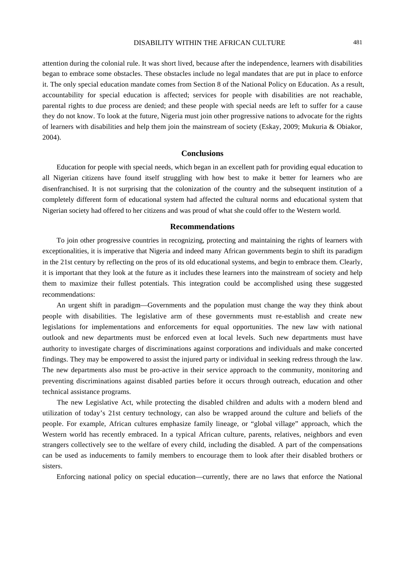## DISABILITY WITHIN THE AFRICAN CULTURE 481

attention during the colonial rule. It was short lived, because after the independence, learners with disabilities began to embrace some obstacles. These obstacles include no legal mandates that are put in place to enforce it. The only special education mandate comes from Section 8 of the National Policy on Education. As a result, accountability for special education is affected; services for people with disabilities are not reachable, parental rights to due process are denied; and these people with special needs are left to suffer for a cause they do not know. To look at the future, Nigeria must join other progressive nations to advocate for the rights of learners with disabilities and help them join the mainstream of society (Eskay, 2009; Mukuria & Obiakor, 2004).

# **Conclusions**

Education for people with special needs, which began in an excellent path for providing equal education to all Nigerian citizens have found itself struggling with how best to make it better for learners who are disenfranchised. It is not surprising that the colonization of the country and the subsequent institution of a completely different form of educational system had affected the cultural norms and educational system that Nigerian society had offered to her citizens and was proud of what she could offer to the Western world.

#### **Recommendations**

To join other progressive countries in recognizing, protecting and maintaining the rights of learners with exceptionalities, it is imperative that Nigeria and indeed many African governments begin to shift its paradigm in the 21st century by reflecting on the pros of its old educational systems, and begin to embrace them. Clearly, it is important that they look at the future as it includes these learners into the mainstream of society and help them to maximize their fullest potentials. This integration could be accomplished using these suggested recommendations:

An urgent shift in paradigm—Governments and the population must change the way they think about people with disabilities. The legislative arm of these governments must re-establish and create new legislations for implementations and enforcements for equal opportunities. The new law with national outlook and new departments must be enforced even at local levels. Such new departments must have authority to investigate charges of discriminations against corporations and individuals and make concerted findings. They may be empowered to assist the injured party or individual in seeking redress through the law. The new departments also must be pro-active in their service approach to the community, monitoring and preventing discriminations against disabled parties before it occurs through outreach, education and other technical assistance programs.

The new Legislative Act, while protecting the disabled children and adults with a modern blend and utilization of today's 21st century technology, can also be wrapped around the culture and beliefs of the people. For example, African cultures emphasize family lineage, or "global village" approach, which the Western world has recently embraced. In a typical African culture, parents, relatives, neighbors and even strangers collectively see to the welfare of every child, including the disabled. A part of the compensations can be used as inducements to family members to encourage them to look after their disabled brothers or sisters.

Enforcing national policy on special education—currently, there are no laws that enforce the National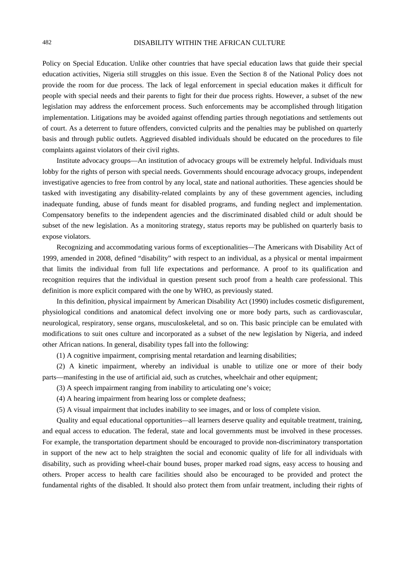Policy on Special Education. Unlike other countries that have special education laws that guide their special education activities, Nigeria still struggles on this issue. Even the Section 8 of the National Policy does not provide the room for due process. The lack of legal enforcement in special education makes it difficult for people with special needs and their parents to fight for their due process rights. However, a subset of the new legislation may address the enforcement process. Such enforcements may be accomplished through litigation implementation. Litigations may be avoided against offending parties through negotiations and settlements out of court. As a deterrent to future offenders, convicted culprits and the penalties may be published on quarterly basis and through public outlets. Aggrieved disabled individuals should be educated on the procedures to file complaints against violators of their civil rights.

Institute advocacy groups—An institution of advocacy groups will be extremely helpful. Individuals must lobby for the rights of person with special needs. Governments should encourage advocacy groups, independent investigative agencies to free from control by any local, state and national authorities. These agencies should be tasked with investigating any disability-related complaints by any of these government agencies, including inadequate funding, abuse of funds meant for disabled programs, and funding neglect and implementation. Compensatory benefits to the independent agencies and the discriminated disabled child or adult should be subset of the new legislation. As a monitoring strategy, status reports may be published on quarterly basis to expose violators.

Recognizing and accommodating various forms of exceptionalities*—*The Americans with Disability Act of 1999, amended in 2008, defined "disability" with respect to an individual, as a physical or mental impairment that limits the individual from full life expectations and performance. A proof to its qualification and recognition requires that the individual in question present such proof from a health care professional. This definition is more explicit compared with the one by WHO, as previously stated.

In this definition, physical impairment by American Disability Act (1990) includes cosmetic disfigurement, physiological conditions and anatomical defect involving one or more body parts, such as cardiovascular, neurological, respiratory, sense organs, musculoskeletal, and so on. This basic principle can be emulated with modifications to suit ones culture and incorporated as a subset of the new legislation by Nigeria, and indeed other African nations. In general, disability types fall into the following:

(1) A cognitive impairment, comprising mental retardation and learning disabilities;

(2) A kinetic impairment, whereby an individual is unable to utilize one or more of their body parts—manifesting in the use of artificial aid, such as crutches, wheelchair and other equipment;

(3) A speech impairment ranging from inability to articulating one's voice;

(4) A hearing impairment from hearing loss or complete deafness;

(5) A visual impairment that includes inability to see images, and or loss of complete vision.

Quality and equal educational opportunities*—*all learners deserve quality and equitable treatment, training, and equal access to education. The federal, state and local governments must be involved in these processes. For example, the transportation department should be encouraged to provide non-discriminatory transportation in support of the new act to help straighten the social and economic quality of life for all individuals with disability, such as providing wheel-chair bound buses, proper marked road signs, easy access to housing and others. Proper access to health care facilities should also be encouraged to be provided and protect the fundamental rights of the disabled. It should also protect them from unfair treatment, including their rights of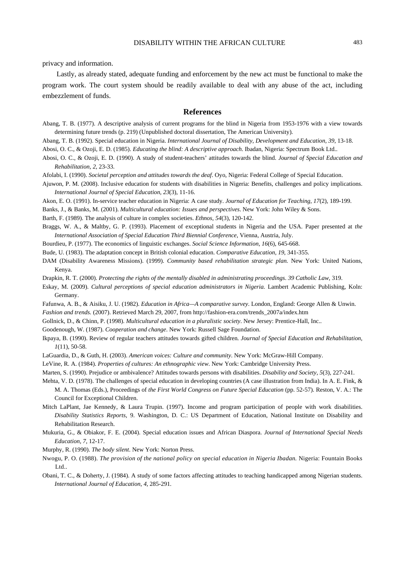privacy and information.

Lastly, as already stated, adequate funding and enforcement by the new act must be functional to make the program work. The court system should be readily available to deal with any abuse of the act, including embezzlement of funds.

#### **References**

- Abang, T. B. (1977). A descriptive analysis of current programs for the blind in Nigeria from 1953-1976 with a view towards determining future trends (p. 219) (Unpublished doctoral dissertation, The American University).
- Abang, T. B. (1992). Special education in Nigeria. *International Journal of Disability, Development and Education, 39*, 13-18.
- Abosi, O. C., & Ozoji, E. D. (1985). *Educating the blind: A descriptive approach*. Ibadan, Nigeria: Spectrum Book Ltd..
- Abosi, O. C., & Ozoji, E. D. (1990). A study of student-teachers' attitudes towards the blind. *Journal of Special Education and Rehabilitation, 2*, 23-33.
- Afolabi, I. (1990). *Societal perception and attitudes towards the deaf*. Oyo, Nigeria: Federal College of Special Education.
- Ajuwon, P. M. (2008). Inclusive education for students with disabilities in Nigeria: Benefits, challenges and policy implications. *International Journal of Special Education, 23*(3), 11-16.
- Akon, E. O. (1991). In-service teacher education in Nigeria: A case study. *Journal of Education for Teaching, 17*(2), 189-199.
- Banks, J., & Banks, M. (2001). *Multicultural education: Issues and perspectives*. New York: John Wiley & Sons.

Barth, F. (1989). The analysis of culture in complex societies. *Ethnos, 54*(3), 120-142.

- Braggs, W. A., & Maltby, G. P. (1993). Placement of exceptional students in Nigeria and the USA. Paper presented at *the International Association of Special Education Third Biennial Conference*, Vienna, Austria, July.
- Bourdieu, P. (1977). The economics of linguistic exchanges. *Social Science Information, 16*(6), 645-668.
- Bude, U. (1983). The adaptation concept in British colonial education. *Comparative Education, 19*, 341-355.
- DAM (Disability Awareness Missions). (1999). *Community based rehabilitation strategic plan.* New York: United Nations, Kenya.
- Drapkin, R. T. (2000). *Protecting the rights of the mentally disabled in administrating proceedings*. *39 Catholic Law,* 319.
- Eskay, M. (2009). *Cultural perceptions of special education administrators in Nigeria.* Lambert Academic Publishing, Koln: Germany.
- Fafunwa, A. B., & Aisiku, J. U. (1982). *Education in Africa—A comparative survey*. London, England: George Allen & Unwin. *Fashion and trends.* (2007). Retrieved March 29, 2007, from http://fashion-era.com/trends\_2007a/index.htm
- Gollnick, D., & Chinn, P. (1998). *Multicultural education in a pluralistic society*. New Jersey: Prentice-Hall, Inc..
- Goodenough, W. (1987). *Cooperation and change*. New York: Russell Sage Foundation.
- Ikpaya, B. (1990). Review of regular teachers attitudes towards gifted children*. Journal of Special Education and Rehabilitation*, *1*(11), 50-58.
- LaGuardia, D., & Guth, H. (2003). *American voices: Culture and community*. New York: McGraw-Hill Company.
- LeVine, R. A. (1984). *Properties of cultures: An ethnographic view*. New York: Cambridge University Press.
- Marten, S. (1990). Prejudice or ambivalence? Attitudes towards persons with disabilities. *Disability and Society, 5*(3), 227-241.
- Mehta, V. D. (1978). The challenges of special education in developing countries (A case illustration from India). In A. E. Fink, & M. A. Thomas (Eds.), Proceedings of *the First World Congress on Future Special Education* (pp. 52-57). Reston, V. A.: The Council for Exceptional Children.
- Mitch LaPlant, Jae Kennedy, & Laura Trupin. (1997). Income and program participation of people with work disabilities. *Disability Statistics Reports,* 9. Washington, D. C.: US Department of Education, National Institute on Disability and Rehabilitation Research.
- Mukuria, G., & Obiakor, F. E. (2004). Special education issues and African Diaspora. *Journal of International Special Needs Education, 7*, 12-17.

Murphy, R. (1990). *The body silent*. New York: Norton Press.

- Nwogu, P. O. (1988). *The provision of the national policy on special education in Nigeria Ibadan.* Nigeria: Fountain Books Ltd..
- Obani, T. C., & Doherty, J. (1984). A study of some factors affecting attitudes to teaching handicapped among Nigerian students. *International Journal of Education, 4*, 285-291.